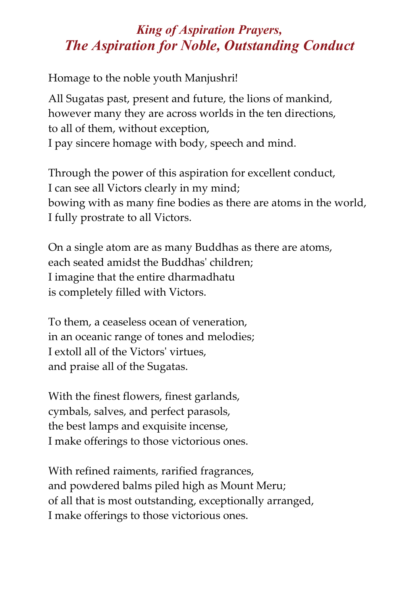## *King of Aspiration Prayers, The Aspiration for Noble, Outstanding Conduct*

Homage to the noble youth Manjushri!

All Sugatas past, present and future, the lions of mankind, however many they are across worlds in the ten directions, to all of them, without exception, I pay sincere homage with body, speech and mind.

Through the power of this aspiration for excellent conduct, I can see all Victors clearly in my mind; bowing with as many fine bodies as there are atoms in the world, I fully prostrate to all Victors.

On a single atom are as many Buddhas as there are atoms, each seated amidst the Buddhasʹ children; I imagine that the entire dharmadhatu is completely filled with Victors.

To them, a ceaseless ocean of veneration, in an oceanic range of tones and melodies; I extoll all of the Victorsʹ virtues, and praise all of the Sugatas.

With the finest flowers, finest garlands, cymbals, salves, and perfect parasols, the best lamps and exquisite incense, I make offerings to those victorious ones.

With refined raiments, rarified fragrances, and powdered balms piled high as Mount Meru; of all that is most outstanding, exceptionally arranged, I make offerings to those victorious ones.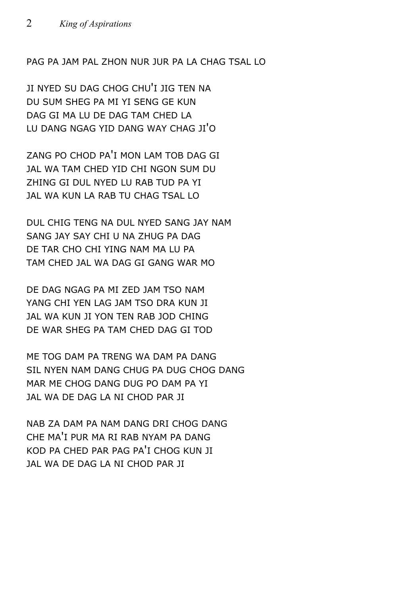PAG PA JAM PAL ZHON NUR JUR PA LA CHAG TSAL LO

JI NYED SU DAG CHOG CHU'I JIG TEN NA DU SUM SHEG PA MI YI SENG GE KUN DAG GI MA LU DE DAG TAM CHED LA LU DANG NGAG YID DANG WAY CHAG JI'O

ZANG PO CHOD PA'I MON LAM TOB DAG GI JAL WA TAM CHED YID CHI NGON SUM DU ZHING GI DUL NYED LU RAB TUD PA YI JAL WA KUN LA RAB TU CHAG TSAL LO

DUL CHIG TENG NA DUL NYED SANG JAY NAM SANG JAY SAY CHI U NA ZHUG PA DAG DE TAR CHO CHI YING NAM MA LU PA TAM CHED JAL WA DAG GI GANG WAR MO

DE DAG NGAG PA MI ZED JAM TSO NAM YANG CHI YEN LAG JAM TSO DRA KUN JI JAL WA KUN JI YON TEN RAB JOD CHING DE WAR SHEG PA TAM CHED DAG GI TOD

ME TOG DAM PA TRENG WA DAM PA DANG SIL NYEN NAM DANG CHUG PA DUG CHOG DANG MAR ME CHOG DANG DUG PO DAM PA YI JAL WA DE DAG LA NI CHOD PAR JI

NAB ZA DAM PA NAM DANG DRI CHOG DANG CHE MA'I PUR MA RI RAB NYAM PA DANG KOD PA CHED PAR PAG PA'I CHOG KUN JI JAL WA DE DAG LA NI CHOD PAR JI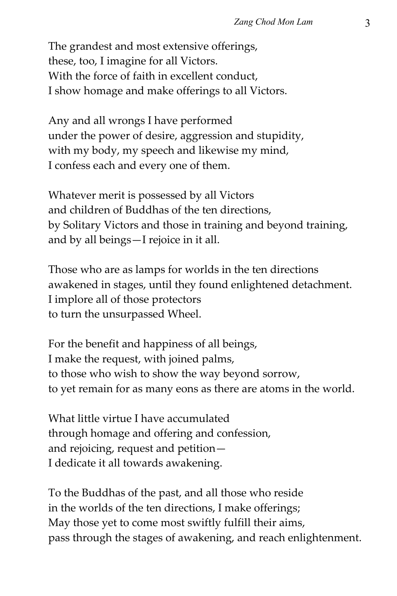The grandest and most extensive offerings, these, too, I imagine for all Victors. With the force of faith in excellent conduct, I show homage and make offerings to all Victors.

Any and all wrongs I have performed under the power of desire, aggression and stupidity, with my body, my speech and likewise my mind, I confess each and every one of them.

Whatever merit is possessed by all Victors and children of Buddhas of the ten directions, by Solitary Victors and those in training and beyond training, and by all beings—I rejoice in it all.

Those who are as lamps for worlds in the ten directions awakened in stages, until they found enlightened detachment. I implore all of those protectors to turn the unsurpassed Wheel.

For the benefit and happiness of all beings, I make the request, with joined palms, to those who wish to show the way beyond sorrow, to yet remain for as many eons as there are atoms in the world.

What little virtue I have accumulated through homage and offering and confession, and rejoicing, request and petition— I dedicate it all towards awakening.

To the Buddhas of the past, and all those who reside in the worlds of the ten directions, I make offerings; May those yet to come most swiftly fulfill their aims, pass through the stages of awakening, and reach enlightenment.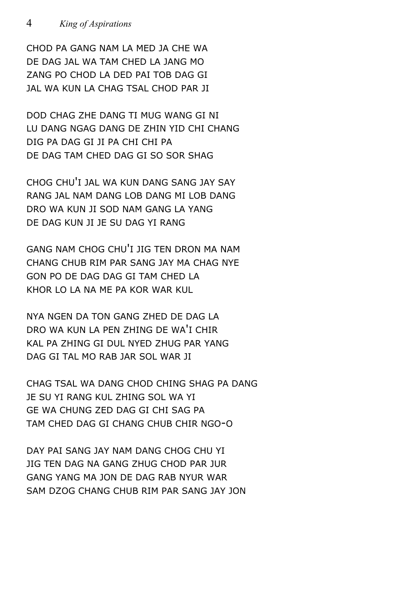CHOD PA GANG NAM LA MED JA CHE WA DE DAG JAL WA TAM CHED LA JANG MO ZANG PO CHOD LA DED PAI TOB DAG GI JAL WA KUN LA CHAG TSAL CHOD PAR JI

DOD CHAG ZHE DANG TI MUG WANG GI NI LU DANG NGAG DANG DE ZHIN YID CHI CHANG DIG PA DAG GI JI PA CHI CHI PA DE DAG TAM CHED DAG GI SO SOR SHAG

CHOG CHU'I JAL WA KUN DANG SANG JAY SAY RANG JAL NAM DANG LOB DANG MI LOB DANG DRO WA KUN JI SOD NAM GANG LA YANG DE DAG KUN JI JE SU DAG YI RANG

GANG NAM CHOG CHU'I JIG TEN DRON MA NAM CHANG CHUB RIM PAR SANG JAY MA CHAG NYE GON PO DE DAG DAG GI TAM CHED LA KHOR LO LA NA ME PA KOR WAR KUL

NYA NGEN DA TON GANG ZHED DE DAG LA DRO WA KUN LA PEN ZHING DE WA'I CHIR KAL PA ZHING GI DUL NYED ZHUG PAR YANG DAG GI TAL MO RAB JAR SOL WAR JI

CHAG TSAL WA DANG CHOD CHING SHAG PA DANG JE SU YI RANG KUL ZHING SOL WA YI GE WA CHUNG ZED DAG GI CHI SAG PA TAM CHED DAG GI CHANG CHUB CHIR NGO-O

DAY PAI SANG JAY NAM DANG CHOG CHU YI JIG TEN DAG NA GANG ZHUG CHOD PAR JUR GANG YANG MA JON DE DAG RAB NYUR WAR SAM DZOG CHANG CHUB RIM PAR SANG JAY JON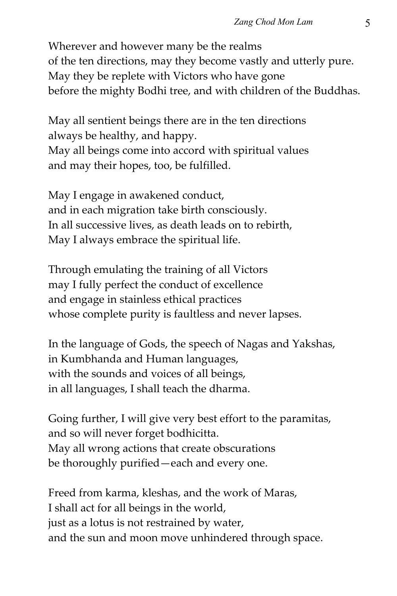Wherever and however many be the realms of the ten directions, may they become vastly and utterly pure. May they be replete with Victors who have gone before the mighty Bodhi tree, and with children of the Buddhas.

May all sentient beings there are in the ten directions always be healthy, and happy. May all beings come into accord with spiritual values and may their hopes, too, be fulfilled.

May I engage in awakened conduct, and in each migration take birth consciously. In all successive lives, as death leads on to rebirth, May I always embrace the spiritual life.

Through emulating the training of all Victors may I fully perfect the conduct of excellence and engage in stainless ethical practices whose complete purity is faultless and never lapses.

In the language of Gods, the speech of Nagas and Yakshas, in Kumbhanda and Human languages, with the sounds and voices of all beings, in all languages, I shall teach the dharma.

Going further, I will give very best effort to the paramitas, and so will never forget bodhicitta. May all wrong actions that create obscurations be thoroughly purified—each and every one.

Freed from karma, kleshas, and the work of Maras, I shall act for all beings in the world, just as a lotus is not restrained by water, and the sun and moon move unhindered through space.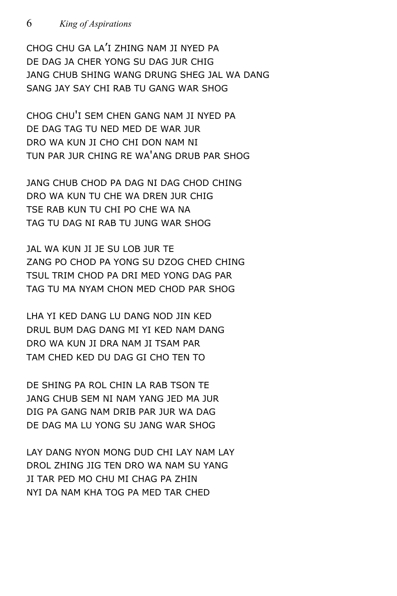CHOG CHU GA LA'I ZHING NAM JI NYED PA DE DAG JA CHER YONG SU DAG JUR CHIG JANG CHUB SHING WANG DRUNG SHEG JAL WA DANG SANG JAY SAY CHI RAB TU GANG WAR SHOG

CHOG CHU'I SEM CHEN GANG NAM JI NYED PA DE DAG TAG TU NED MED DE WAR JUR DRO WA KUN JI CHO CHI DON NAM NI TUN PAR JUR CHING RE WA'ANG DRUB PAR SHOG

JANG CHUB CHOD PA DAG NI DAG CHOD CHING DRO WA KUN TU CHE WA DREN JUR CHIG TSE RAB KUN TU CHI PO CHE WA NA TAG TU DAG NI RAB TU JUNG WAR SHOG

JAL WA KUN JI JE SU LOB JUR TE ZANG PO CHOD PA YONG SU DZOG CHED CHING TSUL TRIM CHOD PA DRI MED YONG DAG PAR TAG TU MA NYAM CHON MED CHOD PAR SHOG

LHA YI KED DANG LU DANG NOD JIN KED DRUL BUM DAG DANG MI YI KED NAM DANG DRO WA KUN JI DRA NAM JI TSAM PAR TAM CHED KED DU DAG GI CHO TEN TO

DE SHING PA ROL CHIN LA RAB TSON TE JANG CHUB SEM NI NAM YANG JED MA JUR DIG PA GANG NAM DRIB PAR JUR WA DAG DE DAG MA LU YONG SU JANG WAR SHOG

LAY DANG NYON MONG DUD CHI LAY NAM LAY DROL ZHING JIG TEN DRO WA NAM SU YANG JI TAR PED MO CHU MI CHAG PA ZHIN NYI DA NAM KHA TOG PA MED TAR CHED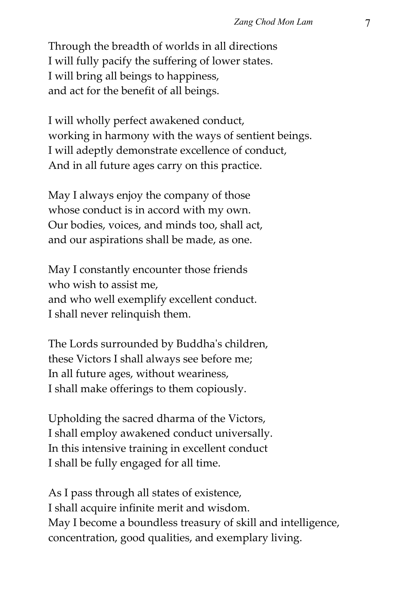Through the breadth of worlds in all directions I will fully pacify the suffering of lower states. I will bring all beings to happiness, and act for the benefit of all beings.

I will wholly perfect awakened conduct, working in harmony with the ways of sentient beings. I will adeptly demonstrate excellence of conduct, And in all future ages carry on this practice.

May I always enjoy the company of those whose conduct is in accord with my own. Our bodies, voices, and minds too, shall act, and our aspirations shall be made, as one.

May I constantly encounter those friends who wish to assist me, and who well exemplify excellent conduct. I shall never relinquish them.

The Lords surrounded by Buddhaʹs children, these Victors I shall always see before me; In all future ages, without weariness, I shall make offerings to them copiously.

Upholding the sacred dharma of the Victors, I shall employ awakened conduct universally. In this intensive training in excellent conduct I shall be fully engaged for all time.

As I pass through all states of existence, I shall acquire infinite merit and wisdom. May I become a boundless treasury of skill and intelligence, concentration, good qualities, and exemplary living.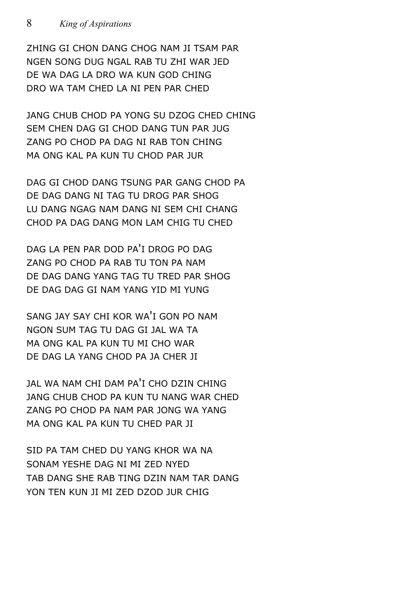ZHING GI CHON DANG CHOG NAM JI TSAM PAR NGEN SONG DUG NGAL RAB TU ZHI WAR JED DE WA DAG LA DRO WA KUN GOD CHING DRO WA TAM CHED LA NI PEN PAR CHED

JANG CHUB CHOD PA YONG SU DZOG CHED CHING SEM CHEN DAG GI CHOD DANG TUN PAR JUG ZANG PO CHOD PA DAG NI RAB TON CHING MA ONG KAL PA KUN TU CHOD PAR JUR

DAG GI CHOD DANG TSUNG PAR GANG CHOD PA DE DAG DANG NI TAG TU DROG PAR SHOG LU DANG NGAG NAM DANG NI SEM CHI CHANG CHOD PA DAG DANG MON LAM CHIG TU CHED

DAG LA PEN PAR DOD PA'I DROG PO DAG ZANG PO CHOD PA RAB TU TON PA NAM DE DAG DANG YANG TAG TU TRED PAR SHOG DE DAG DAG GI NAM YANG YID MI YUNG

SANG JAY SAY CHI KOR WA'I GON PO NAM NGON SUM TAG TU DAG GI JAL WA TA MA ONG KAL PA KUN TU MI CHO WAR DE DAG LA YANG CHOD PA JA CHER JI

JAL WA NAM CHI DAM PA'I CHO DZIN CHING JANG CHUB CHOD PA KUN TU NANG WAR CHED ZANG PO CHOD PA NAM PAR JONG WA YANG MA ONG KAL PA KUN TU CHED PAR JI

SID PA TAM CHED DU YANG KHOR WA NA SONAM YESHE DAG NI MI ZED NYED TAB DANG SHE RAB TING DZIN NAM TAR DANG YON TEN KUN JI MI ZED DZOD JUR CHIG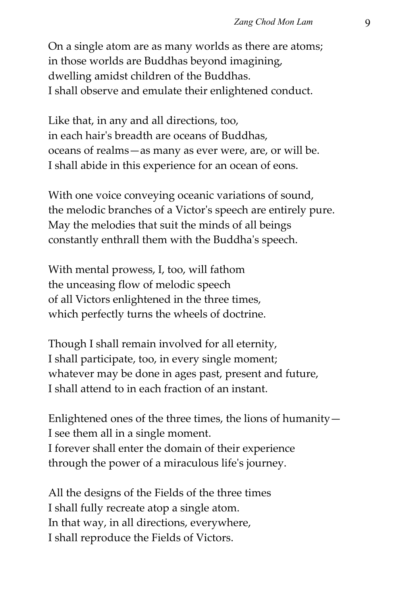On a single atom are as many worlds as there are atoms; in those worlds are Buddhas beyond imagining, dwelling amidst children of the Buddhas. I shall observe and emulate their enlightened conduct.

Like that, in any and all directions, too, in each hairʹs breadth are oceans of Buddhas, oceans of realms—as many as ever were, are, or will be. I shall abide in this experience for an ocean of eons.

With one voice conveying oceanic variations of sound, the melodic branches of a Victorʹs speech are entirely pure. May the melodies that suit the minds of all beings constantly enthrall them with the Buddhaʹs speech.

With mental prowess, I, too, will fathom the unceasing flow of melodic speech of all Victors enlightened in the three times, which perfectly turns the wheels of doctrine.

Though I shall remain involved for all eternity, I shall participate, too, in every single moment; whatever may be done in ages past, present and future, I shall attend to in each fraction of an instant.

Enlightened ones of the three times, the lions of humanity— I see them all in a single moment. I forever shall enter the domain of their experience through the power of a miraculous lifeʹs journey.

All the designs of the Fields of the three times I shall fully recreate atop a single atom. In that way, in all directions, everywhere, I shall reproduce the Fields of Victors.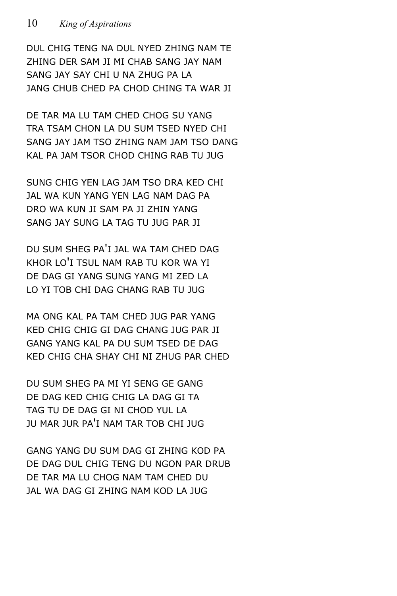DUL CHIG TENG NA DUL NYED ZHING NAM TE ZHING DER SAM JI MI CHAB SANG JAY NAM SANG JAY SAY CHI U NA ZHUG PA LA JANG CHUB CHED PA CHOD CHING TA WAR JI

DE TAR MA LU TAM CHED CHOG SU YANG TRA TSAM CHON LA DU SUM TSED NYED CHI SANG JAY JAM TSO ZHING NAM JAM TSO DANG KAL PA JAM TSOR CHOD CHING RAB TU JUG

SUNG CHIG YEN LAG JAM TSO DRA KED CHI JAL WA KUN YANG YEN LAG NAM DAG PA DRO WA KUN JI SAM PA JI ZHIN YANG SANG JAY SUNG LA TAG TU JUG PAR JI

DU SUM SHEG PA'I JAL WA TAM CHED DAG KHOR LO'I TSUL NAM RAB TU KOR WA YI DE DAG GI YANG SUNG YANG MI ZED LA LO YI TOB CHI DAG CHANG RAB TU JUG

MA ONG KAL PA TAM CHED JUG PAR YANG KED CHIG CHIG GI DAG CHANG JUG PAR JI GANG YANG KAL PA DU SUM TSED DE DAG KED CHIG CHA SHAY CHI NI ZHUG PAR CHED

DU SUM SHEG PA MI YI SENG GE GANG DE DAG KED CHIG CHIG LA DAG GI TA TAG TU DE DAG GI NI CHOD YUL LA JU MAR JUR PA'I NAM TAR TOB CHI JUG

GANG YANG DU SUM DAG GI ZHING KOD PA DE DAG DUL CHIG TENG DU NGON PAR DRUB DE TAR MA LU CHOG NAM TAM CHED DU JAL WA DAG GI ZHING NAM KOD LA JUG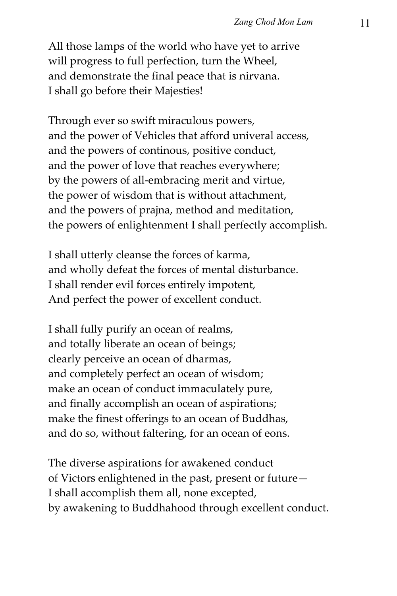All those lamps of the world who have yet to arrive will progress to full perfection, turn the Wheel, and demonstrate the final peace that is nirvana. I shall go before their Majesties!

Through ever so swift miraculous powers, and the power of Vehicles that afford univeral access, and the powers of continous, positive conduct, and the power of love that reaches everywhere; by the powers of all‐embracing merit and virtue, the power of wisdom that is without attachment, and the powers of prajna, method and meditation, the powers of enlightenment I shall perfectly accomplish.

I shall utterly cleanse the forces of karma, and wholly defeat the forces of mental disturbance. I shall render evil forces entirely impotent, And perfect the power of excellent conduct.

I shall fully purify an ocean of realms, and totally liberate an ocean of beings; clearly perceive an ocean of dharmas, and completely perfect an ocean of wisdom; make an ocean of conduct immaculately pure, and finally accomplish an ocean of aspirations; make the finest offerings to an ocean of Buddhas, and do so, without faltering, for an ocean of eons.

The diverse aspirations for awakened conduct of Victors enlightened in the past, present or future— I shall accomplish them all, none excepted, by awakening to Buddhahood through excellent conduct.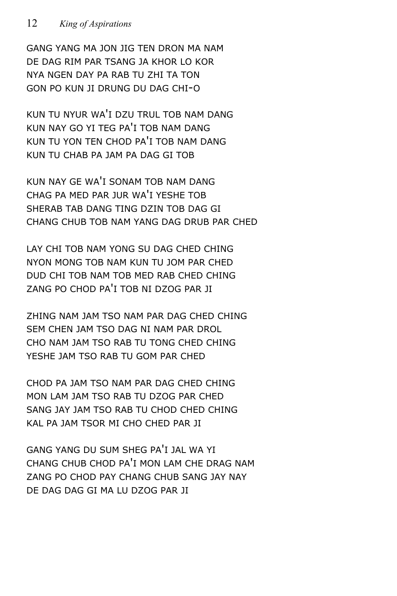## 12 *King of Aspirations*

GANG YANG MA JON JIG TEN DRON MA NAM DE DAG RIM PAR TSANG JA KHOR LO KOR NYA NGEN DAY PA RAB TU ZHI TA TON GON PO KUN JI DRUNG DU DAG CHI-O

KUN TU NYUR WA'I DZU TRUL TOB NAM DANG KUN NAY GO YI TEG PA'I TOB NAM DANG KUN TU YON TEN CHOD PA'I TOB NAM DANG KUN TU CHAB PA JAM PA DAG GI TOB

KUN NAY GE WA'I SONAM TOB NAM DANG CHAG PA MED PAR JUR WA'I YESHE TOB SHERAB TAB DANG TING DZIN TOB DAG GI CHANG CHUB TOB NAM YANG DAG DRUB PAR CHED

LAY CHI TOB NAM YONG SU DAG CHED CHING NYON MONG TOB NAM KUN TU JOM PAR CHED DUD CHI TOB NAM TOB MED RAB CHED CHING ZANG PO CHOD PA'I TOB NI DZOG PAR JI

ZHING NAM JAM TSO NAM PAR DAG CHED CHING SEM CHEN JAM TSO DAG NI NAM PAR DROL CHO NAM JAM TSO RAB TU TONG CHED CHING YESHE JAM TSO RAB TU GOM PAR CHED

CHOD PA JAM TSO NAM PAR DAG CHED CHING MON LAM JAM TSO RAB TU DZOG PAR CHED SANG JAY JAM TSO RAB TU CHOD CHED CHING KAL PA JAM TSOR MI CHO CHED PAR JI

GANG YANG DU SUM SHEG PA'I JAL WA YI CHANG CHUB CHOD PA'I MON LAM CHE DRAG NAM ZANG PO CHOD PAY CHANG CHUB SANG JAY NAY DE DAG DAG GI MA LU DZOG PAR JI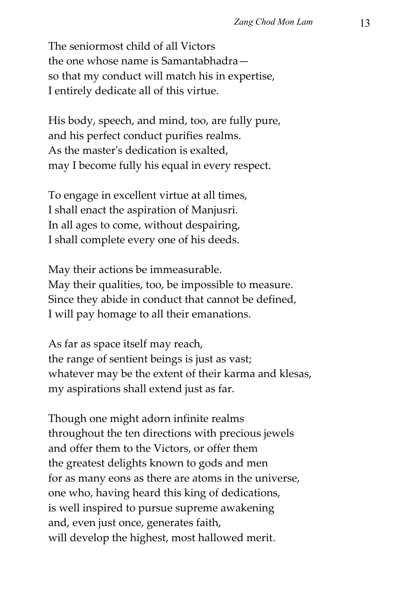The seniormost child of all Victors the one whose name is Samantabhadra so that my conduct will match his in expertise, I entirely dedicate all of this virtue.

His body, speech, and mind, too, are fully pure, and his perfect conduct purifies realms. As the masterʹs dedication is exalted, may I become fully his equal in every respect.

To engage in excellent virtue at all times, I shall enact the aspiration of Manjusri. In all ages to come, without despairing, I shall complete every one of his deeds.

May their actions be immeasurable. May their qualities, too, be impossible to measure. Since they abide in conduct that cannot be defined, I will pay homage to all their emanations.

As far as space itself may reach, the range of sentient beings is just as vast; whatever may be the extent of their karma and klesas, my aspirations shall extend just as far.

Though one might adorn infinite realms throughout the ten directions with precious jewels and offer them to the Victors, or offer them the greatest delights known to gods and men for as many eons as there are atoms in the universe, one who, having heard this king of dedications, is well inspired to pursue supreme awakening and, even just once, generates faith, will develop the highest, most hallowed merit.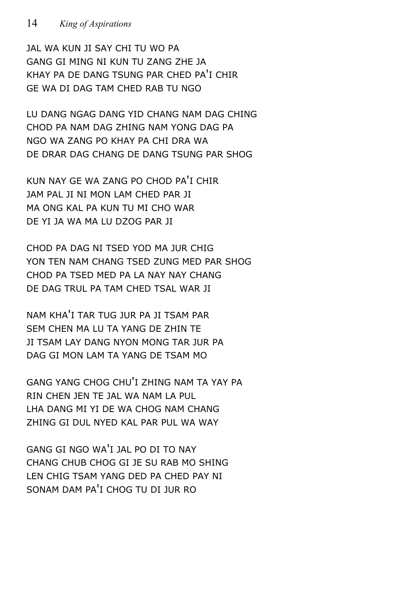## 14 *King of Aspirations*

JAL WA KUN JI SAY CHI TU WO PA GANG GI MING NI KUN TU ZANG ZHE JA KHAY PA DE DANG TSUNG PAR CHED PA'I CHIR GE WA DI DAG TAM CHED RAB TU NGO

LU DANG NGAG DANG YID CHANG NAM DAG CHING CHOD PA NAM DAG ZHING NAM YONG DAG PA NGO WA ZANG PO KHAY PA CHI DRA WA DE DRAR DAG CHANG DE DANG TSUNG PAR SHOG

KUN NAY GE WA ZANG PO CHOD PA'I CHIR JAM PAL JI NI MON LAM CHED PAR JI MA ONG KAL PA KUN TU MI CHO WAR DE YI JA WA MA LU DZOG PAR JI

CHOD PA DAG NI TSED YOD MA JUR CHIG YON TEN NAM CHANG TSED ZUNG MED PAR SHOG CHOD PA TSED MED PA LA NAY NAY CHANG DE DAG TRUL PA TAM CHED TSAL WAR JI

NAM KHA'I TAR TUG JUR PA JI TSAM PAR SEM CHEN MA LU TA YANG DE ZHIN TE JI TSAM LAY DANG NYON MONG TAR JUR PA DAG GI MON LAM TA YANG DE TSAM MO

GANG YANG CHOG CHU'I ZHING NAM TA YAY PA RIN CHEN JEN TE JAL WA NAM LA PUL LHA DANG MI YI DE WA CHOG NAM CHANG ZHING GI DUL NYED KAL PAR PUL WA WAY

GANG GI NGO WA'I JAL PO DI TO NAY CHANG CHUB CHOG GI JE SU RAB MO SHING LEN CHIG TSAM YANG DED PA CHED PAY NI SONAM DAM PA'I CHOG TU DI JUR RO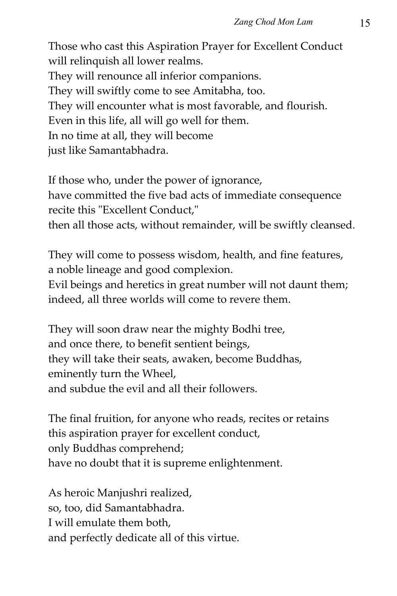Those who cast this Aspiration Prayer for Excellent Conduct will relinquish all lower realms. They will renounce all inferior companions. They will swiftly come to see Amitabha, too. They will encounter what is most favorable, and flourish. Even in this life, all will go well for them. In no time at all, they will become just like Samantabhadra.

If those who, under the power of ignorance, have committed the five bad acts of immediate consequence recite this "Excellent Conduct," then all those acts, without remainder, will be swiftly cleansed.

They will come to possess wisdom, health, and fine features, a noble lineage and good complexion.

Evil beings and heretics in great number will not daunt them; indeed, all three worlds will come to revere them.

They will soon draw near the mighty Bodhi tree, and once there, to benefit sentient beings, they will take their seats, awaken, become Buddhas, eminently turn the Wheel, and subdue the evil and all their followers.

The final fruition, for anyone who reads, recites or retains this aspiration prayer for excellent conduct, only Buddhas comprehend; have no doubt that it is supreme enlightenment.

As heroic Manjushri realized, so, too, did Samantabhadra. I will emulate them both, and perfectly dedicate all of this virtue.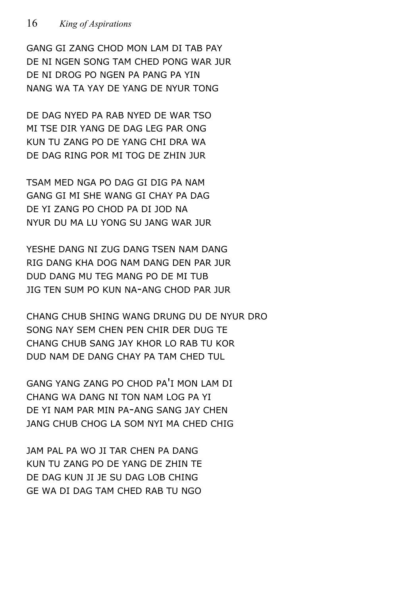GANG GI ZANG CHOD MON LAM DI TAB PAY DE NI NGEN SONG TAM CHED PONG WAR JUR DE NI DROG PO NGEN PA PANG PA YIN NANG WA TA YAY DE YANG DE NYUR TONG

DE DAG NYED PA RAB NYED DE WAR TSO MI TSE DIR YANG DE DAG LEG PAR ONG KUN TU ZANG PO DE YANG CHI DRA WA DE DAG RING POR MI TOG DE ZHIN JUR

TSAM MED NGA PO DAG GI DIG PA NAM GANG GI MI SHE WANG GI CHAY PA DAG DE YI ZANG PO CHOD PA DI JOD NA NYUR DU MA LU YONG SU JANG WAR JUR

YESHE DANG NI ZUG DANG TSEN NAM DANG RIG DANG KHA DOG NAM DANG DEN PAR JUR DUD DANG MU TEG MANG PO DE MI TUB JIG TEN SUM PO KUN NA-ANG CHOD PAR JUR

CHANG CHUB SHING WANG DRUNG DU DE NYUR DRO SONG NAY SEM CHEN PEN CHIR DER DUG TE CHANG CHUB SANG JAY KHOR LO RAB TU KOR DUD NAM DE DANG CHAY PA TAM CHED TUL

GANG YANG ZANG PO CHOD PA'I MON LAM DI CHANG WA DANG NI TON NAM LOG PA YI DE YI NAM PAR MIN PA-ANG SANG JAY CHEN JANG CHUB CHOG LA SOM NYI MA CHED CHIG

JAM PAL PA WO JI TAR CHEN PA DANG KUN TU ZANG PO DE YANG DE ZHIN TE DE DAG KUN JI JE SU DAG LOB CHING GE WA DI DAG TAM CHED RAB TU NGO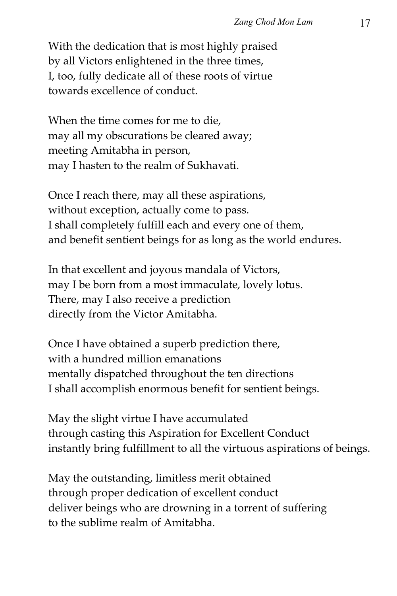With the dedication that is most highly praised by all Victors enlightened in the three times, I, too, fully dedicate all of these roots of virtue towards excellence of conduct.

When the time comes for me to die, may all my obscurations be cleared away; meeting Amitabha in person, may I hasten to the realm of Sukhavati.

Once I reach there, may all these aspirations, without exception, actually come to pass. I shall completely fulfill each and every one of them, and benefit sentient beings for as long as the world endures.

In that excellent and joyous mandala of Victors, may I be born from a most immaculate, lovely lotus. There, may I also receive a prediction directly from the Victor Amitabha.

Once I have obtained a superb prediction there, with a hundred million emanations mentally dispatched throughout the ten directions I shall accomplish enormous benefit for sentient beings.

May the slight virtue I have accumulated through casting this Aspiration for Excellent Conduct instantly bring fulfillment to all the virtuous aspirations of beings.

May the outstanding, limitless merit obtained through proper dedication of excellent conduct deliver beings who are drowning in a torrent of suffering to the sublime realm of Amitabha.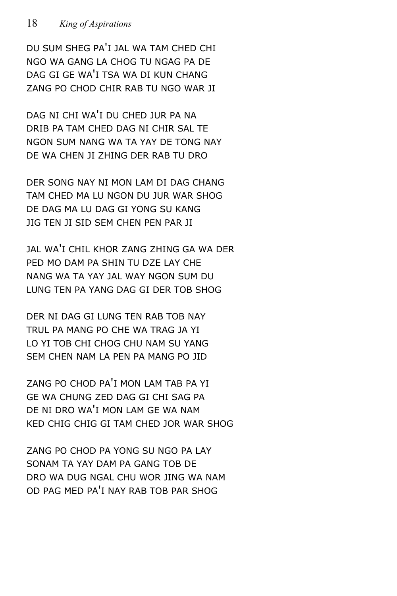DU SUM SHEG PA'I JAL WA TAM CHED CHI NGO WA GANG LA CHOG TU NGAG PA DE DAG GI GE WA'I TSA WA DI KUN CHANG ZANG PO CHOD CHIR RAB TU NGO WAR JI

DAG NI CHI WA'I DU CHED JUR PA NA DRIB PA TAM CHED DAG NI CHIR SAL TE NGON SUM NANG WA TA YAY DE TONG NAY DE WA CHEN JI ZHING DER RAB TU DRO

DER SONG NAY NI MON LAM DI DAG CHANG TAM CHED MA LU NGON DU JUR WAR SHOG DE DAG MA LU DAG GI YONG SU KANG JIG TEN JI SID SEM CHEN PEN PAR JI

JAL WA'I CHIL KHOR ZANG ZHING GA WA DER PED MO DAM PA SHIN TU DZE LAY CHE NANG WA TA YAY JAL WAY NGON SUM DU LUNG TEN PA YANG DAG GI DER TOB SHOG

DER NI DAG GI LUNG TEN RAB TOB NAY TRUL PA MANG PO CHE WA TRAG JA YI LO YI TOB CHI CHOG CHU NAM SU YANG SEM CHEN NAM LA PEN PA MANG PO JID

ZANG PO CHOD PA'I MON LAM TAB PA YI GE WA CHUNG ZED DAG GI CHI SAG PA DE NI DRO WA'I MON LAM GE WA NAM KED CHIG CHIG GI TAM CHED JOR WAR SHOG

ZANG PO CHOD PA YONG SU NGO PA LAY SONAM TA YAY DAM PA GANG TOB DE DRO WA DUG NGAL CHU WOR JING WA NAM OD PAG MED PA'I NAY RAB TOB PAR SHOG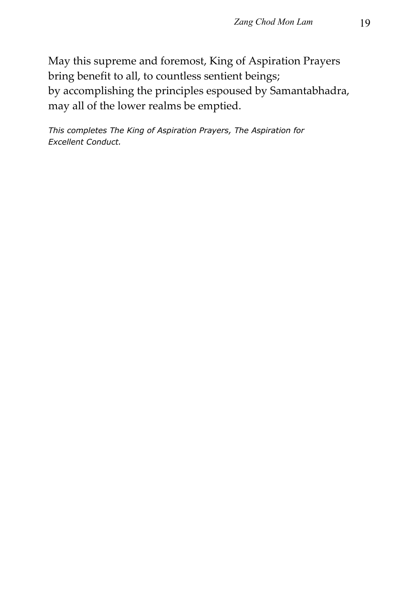May this supreme and foremost, King of Aspiration Prayers bring benefit to all, to countless sentient beings; by accomplishing the principles espoused by Samantabhadra, may all of the lower realms be emptied.

*This completes The King of Aspiration Prayers, The Aspiration for Excellent Conduct.*